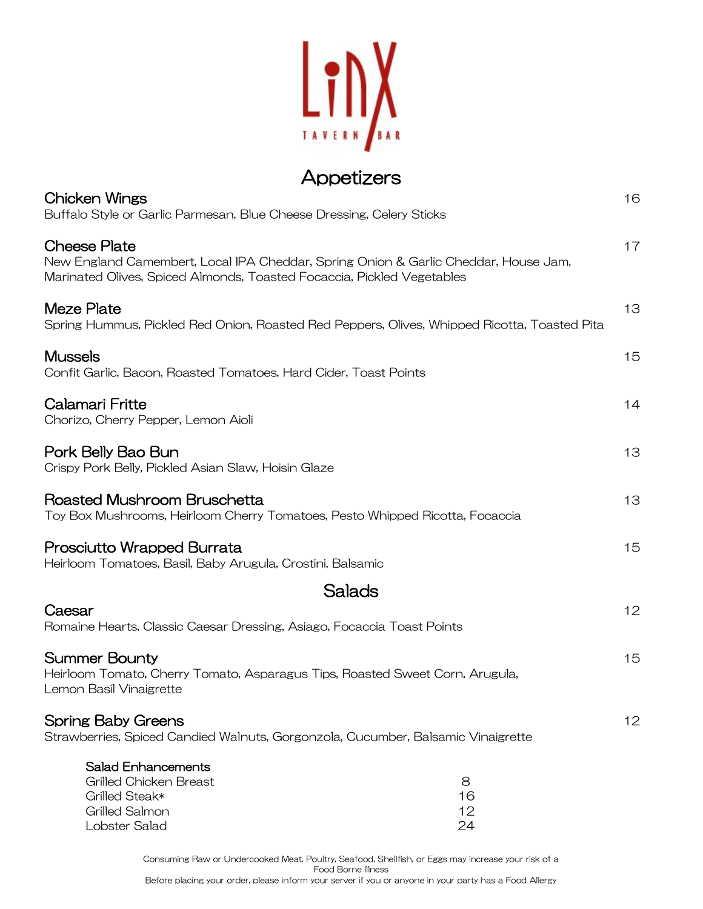

## Appetizers

| Chicken Wings<br>Buffalo Style or Garlic Parmesan, Blue Cheese Dressing, Celery Sticks                                                                                        | 16 |
|-------------------------------------------------------------------------------------------------------------------------------------------------------------------------------|----|
| Cheese Plate<br>New England Camembert, Local IPA Cheddar, Spring Onion & Garlic Cheddar, House Jam,<br>Marinated Olives, Spiced Almonds, Toasted Focaccia, Pickled Vegetables | 17 |
| Meze Plate<br>Spring Hummus, Pickled Red Onion, Roasted Red Peppers, Olives, Whipped Ricotta, Toasted Pita                                                                    | 13 |
| <b>Mussels</b><br>Confit Garlic, Bacon, Roasted Tomatoes, Hard Cider, Toast Points                                                                                            | 15 |
| Calamari Fritte<br>Chorizo, Cherry Pepper, Lemon Aioli                                                                                                                        | 14 |
| Pork Belly Bao Bun<br>Crispy Pork Belly, Pickled Asian Slaw, Hoisin Glaze                                                                                                     | 13 |
| Roasted Mushroom Bruschetta<br>Toy Box Mushrooms, Heirloom Cherry Tomatoes, Pesto Whipped Ricotta, Focaccia                                                                   | 13 |
| Prosciutto Wrapped Burrata<br>Heirloom Tomatoes, Basil, Baby Arugula, Crostini, Balsamic                                                                                      | 15 |
| Salads                                                                                                                                                                        |    |
| Caesar<br>Romaine Hearts, Classic Caesar Dressing, Asiago, Focaccia Toast Points                                                                                              | 12 |
| Summer Bounty<br>Heirloom Tomato, Cherry Tomato, Asparagus Tips, Roasted Sweet Corn, Arugula,<br>Lemon Basil Vinaigrette                                                      | 15 |
| <b>Spring Baby Greens</b><br>Strawberries, Spiced Candied Walnuts, Gorgonzola, Cucumber, Balsamic Vinaigrette                                                                 | 12 |
| <b>Salad Enhancements</b><br>Grilled Chicken Breast<br>8<br>Grilled Steak*<br>16<br><b>Grilled Salmon</b><br>12<br>Lobster Salad<br>24                                        |    |

Consuming Raw or Undercooked Meat, Poultry, Seafood, Shellfish, or Eggs may increase your risk of a Food Borne Illness Before placing your order, please inform your server if you or anyone in your party has a Food Allergy